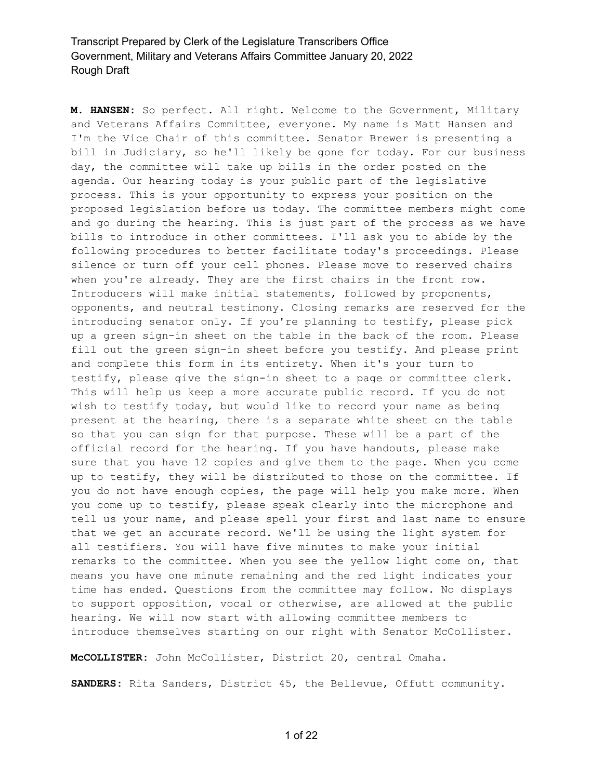**M. HANSEN:** So perfect. All right. Welcome to the Government, Military and Veterans Affairs Committee, everyone. My name is Matt Hansen and I'm the Vice Chair of this committee. Senator Brewer is presenting a bill in Judiciary, so he'll likely be gone for today. For our business day, the committee will take up bills in the order posted on the agenda. Our hearing today is your public part of the legislative process. This is your opportunity to express your position on the proposed legislation before us today. The committee members might come and go during the hearing. This is just part of the process as we have bills to introduce in other committees. I'll ask you to abide by the following procedures to better facilitate today's proceedings. Please silence or turn off your cell phones. Please move to reserved chairs when you're already. They are the first chairs in the front row. Introducers will make initial statements, followed by proponents, opponents, and neutral testimony. Closing remarks are reserved for the introducing senator only. If you're planning to testify, please pick up a green sign-in sheet on the table in the back of the room. Please fill out the green sign-in sheet before you testify. And please print and complete this form in its entirety. When it's your turn to testify, please give the sign-in sheet to a page or committee clerk. This will help us keep a more accurate public record. If you do not wish to testify today, but would like to record your name as being present at the hearing, there is a separate white sheet on the table so that you can sign for that purpose. These will be a part of the official record for the hearing. If you have handouts, please make sure that you have 12 copies and give them to the page. When you come up to testify, they will be distributed to those on the committee. If you do not have enough copies, the page will help you make more. When you come up to testify, please speak clearly into the microphone and tell us your name, and please spell your first and last name to ensure that we get an accurate record. We'll be using the light system for all testifiers. You will have five minutes to make your initial remarks to the committee. When you see the yellow light come on, that means you have one minute remaining and the red light indicates your time has ended. Questions from the committee may follow. No displays to support opposition, vocal or otherwise, are allowed at the public hearing. We will now start with allowing committee members to introduce themselves starting on our right with Senator McCollister.

**McCOLLISTER:** John McCollister, District 20, central Omaha.

**SANDERS:** Rita Sanders, District 45, the Bellevue, Offutt community.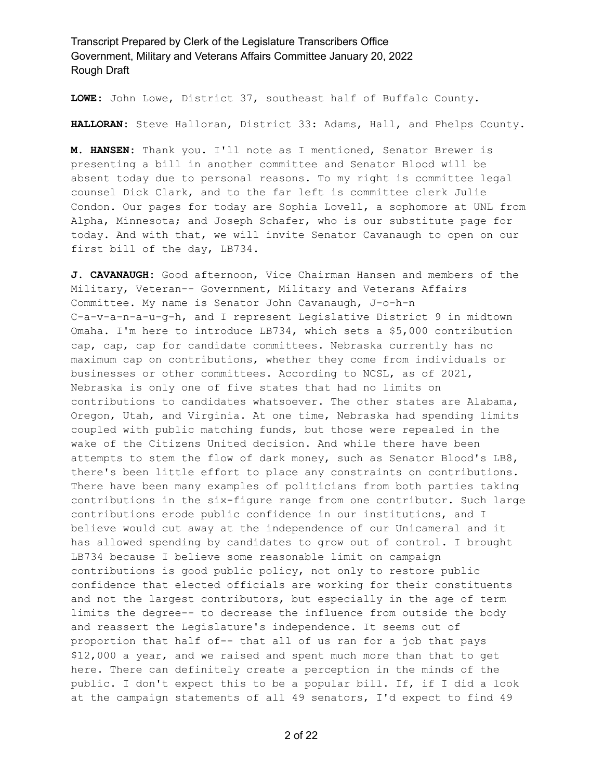**LOWE:** John Lowe, District 37, southeast half of Buffalo County.

**HALLORAN:** Steve Halloran, District 33: Adams, Hall, and Phelps County.

**M. HANSEN:** Thank you. I'll note as I mentioned, Senator Brewer is presenting a bill in another committee and Senator Blood will be absent today due to personal reasons. To my right is committee legal counsel Dick Clark, and to the far left is committee clerk Julie Condon. Our pages for today are Sophia Lovell, a sophomore at UNL from Alpha, Minnesota; and Joseph Schafer, who is our substitute page for today. And with that, we will invite Senator Cavanaugh to open on our first bill of the day, LB734.

**J. CAVANAUGH:** Good afternoon, Vice Chairman Hansen and members of the Military, Veteran-- Government, Military and Veterans Affairs Committee. My name is Senator John Cavanaugh, J-o-h-n C-a-v-a-n-a-u-g-h, and I represent Legislative District 9 in midtown Omaha. I'm here to introduce LB734, which sets a \$5,000 contribution cap, cap, cap for candidate committees. Nebraska currently has no maximum cap on contributions, whether they come from individuals or businesses or other committees. According to NCSL, as of 2021, Nebraska is only one of five states that had no limits on contributions to candidates whatsoever. The other states are Alabama, Oregon, Utah, and Virginia. At one time, Nebraska had spending limits coupled with public matching funds, but those were repealed in the wake of the Citizens United decision. And while there have been attempts to stem the flow of dark money, such as Senator Blood's LB8, there's been little effort to place any constraints on contributions. There have been many examples of politicians from both parties taking contributions in the six-figure range from one contributor. Such large contributions erode public confidence in our institutions, and I believe would cut away at the independence of our Unicameral and it has allowed spending by candidates to grow out of control. I brought LB734 because I believe some reasonable limit on campaign contributions is good public policy, not only to restore public confidence that elected officials are working for their constituents and not the largest contributors, but especially in the age of term limits the degree-- to decrease the influence from outside the body and reassert the Legislature's independence. It seems out of proportion that half of-- that all of us ran for a job that pays \$12,000 a year, and we raised and spent much more than that to get here. There can definitely create a perception in the minds of the public. I don't expect this to be a popular bill. If, if I did a look at the campaign statements of all 49 senators, I'd expect to find 49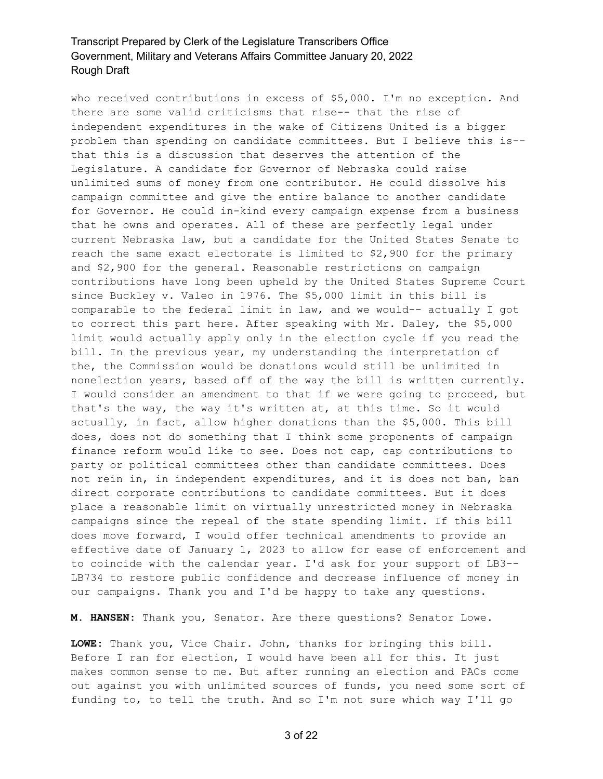who received contributions in excess of \$5,000. I'm no exception. And there are some valid criticisms that rise-- that the rise of independent expenditures in the wake of Citizens United is a bigger problem than spending on candidate committees. But I believe this is- that this is a discussion that deserves the attention of the Legislature. A candidate for Governor of Nebraska could raise unlimited sums of money from one contributor. He could dissolve his campaign committee and give the entire balance to another candidate for Governor. He could in-kind every campaign expense from a business that he owns and operates. All of these are perfectly legal under current Nebraska law, but a candidate for the United States Senate to reach the same exact electorate is limited to \$2,900 for the primary and \$2,900 for the general. Reasonable restrictions on campaign contributions have long been upheld by the United States Supreme Court since Buckley v. Valeo in 1976. The \$5,000 limit in this bill is comparable to the federal limit in law, and we would-- actually I got to correct this part here. After speaking with Mr. Daley, the \$5,000 limit would actually apply only in the election cycle if you read the bill. In the previous year, my understanding the interpretation of the, the Commission would be donations would still be unlimited in nonelection years, based off of the way the bill is written currently. I would consider an amendment to that if we were going to proceed, but that's the way, the way it's written at, at this time. So it would actually, in fact, allow higher donations than the \$5,000. This bill does, does not do something that I think some proponents of campaign finance reform would like to see. Does not cap, cap contributions to party or political committees other than candidate committees. Does not rein in, in independent expenditures, and it is does not ban, ban direct corporate contributions to candidate committees. But it does place a reasonable limit on virtually unrestricted money in Nebraska campaigns since the repeal of the state spending limit. If this bill does move forward, I would offer technical amendments to provide an effective date of January 1, 2023 to allow for ease of enforcement and to coincide with the calendar year. I'd ask for your support of LB3-- LB734 to restore public confidence and decrease influence of money in our campaigns. Thank you and I'd be happy to take any questions.

**M. HANSEN:** Thank you, Senator. Are there questions? Senator Lowe.

**LOWE:** Thank you, Vice Chair. John, thanks for bringing this bill. Before I ran for election, I would have been all for this. It just makes common sense to me. But after running an election and PACs come out against you with unlimited sources of funds, you need some sort of funding to, to tell the truth. And so I'm not sure which way I'll go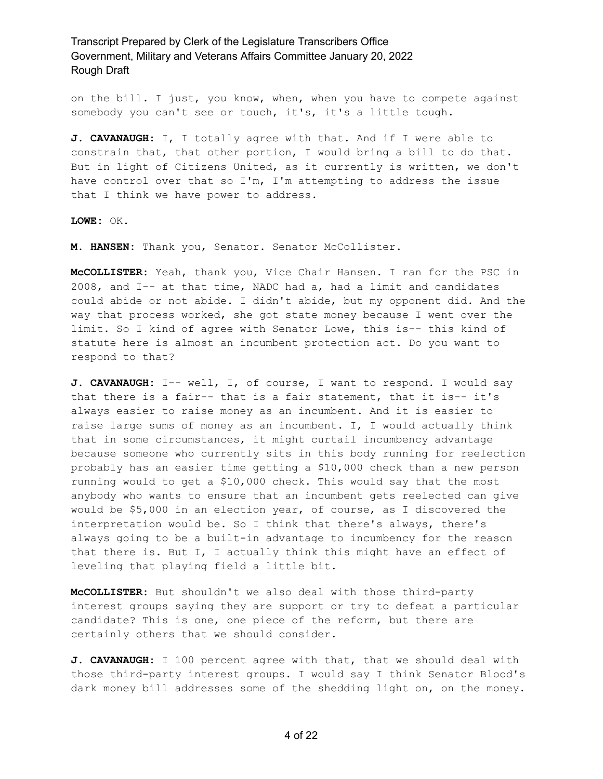on the bill. I just, you know, when, when you have to compete against somebody you can't see or touch, it's, it's a little tough.

**J. CAVANAUGH:** I, I totally agree with that. And if I were able to constrain that, that other portion, I would bring a bill to do that. But in light of Citizens United, as it currently is written, we don't have control over that so I'm, I'm attempting to address the issue that I think we have power to address.

**LOWE:** OK.

**M. HANSEN:** Thank you, Senator. Senator McCollister.

**McCOLLISTER:** Yeah, thank you, Vice Chair Hansen. I ran for the PSC in 2008, and I-- at that time, NADC had a, had a limit and candidates could abide or not abide. I didn't abide, but my opponent did. And the way that process worked, she got state money because I went over the limit. So I kind of agree with Senator Lowe, this is-- this kind of statute here is almost an incumbent protection act. Do you want to respond to that?

**J. CAVANAUGH:** I-- well, I, of course, I want to respond. I would say that there is a fair-- that is a fair statement, that it is-- it's always easier to raise money as an incumbent. And it is easier to raise large sums of money as an incumbent. I, I would actually think that in some circumstances, it might curtail incumbency advantage because someone who currently sits in this body running for reelection probably has an easier time getting a \$10,000 check than a new person running would to get a \$10,000 check. This would say that the most anybody who wants to ensure that an incumbent gets reelected can give would be \$5,000 in an election year, of course, as I discovered the interpretation would be. So I think that there's always, there's always going to be a built-in advantage to incumbency for the reason that there is. But I, I actually think this might have an effect of leveling that playing field a little bit.

**McCOLLISTER:** But shouldn't we also deal with those third-party interest groups saying they are support or try to defeat a particular candidate? This is one, one piece of the reform, but there are certainly others that we should consider.

**J. CAVANAUGH:** I 100 percent agree with that, that we should deal with those third-party interest groups. I would say I think Senator Blood's dark money bill addresses some of the shedding light on, on the money.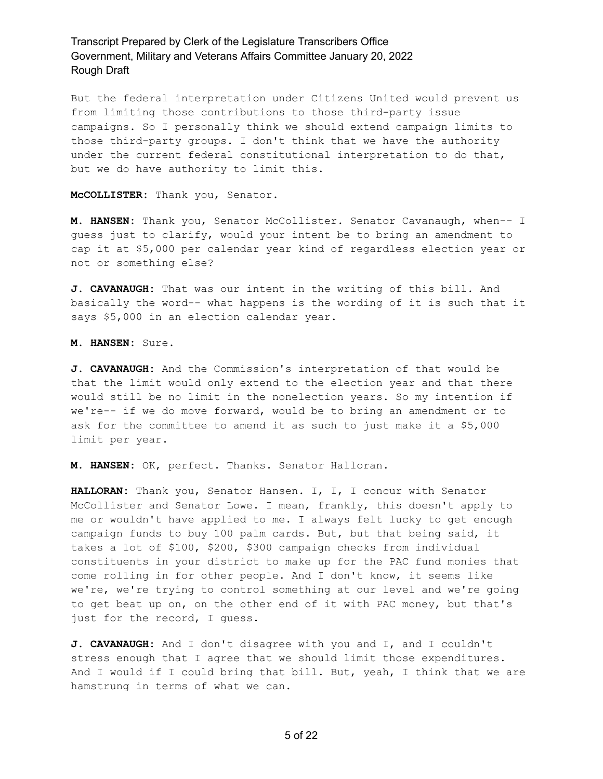But the federal interpretation under Citizens United would prevent us from limiting those contributions to those third-party issue campaigns. So I personally think we should extend campaign limits to those third-party groups. I don't think that we have the authority under the current federal constitutional interpretation to do that, but we do have authority to limit this.

**McCOLLISTER:** Thank you, Senator.

**M. HANSEN:** Thank you, Senator McCollister. Senator Cavanaugh, when-- I guess just to clarify, would your intent be to bring an amendment to cap it at \$5,000 per calendar year kind of regardless election year or not or something else?

**J. CAVANAUGH:** That was our intent in the writing of this bill. And basically the word-- what happens is the wording of it is such that it says \$5,000 in an election calendar year.

**M. HANSEN:** Sure.

**J. CAVANAUGH:** And the Commission's interpretation of that would be that the limit would only extend to the election year and that there would still be no limit in the nonelection years. So my intention if we're-- if we do move forward, would be to bring an amendment or to ask for the committee to amend it as such to just make it a \$5,000 limit per year.

**M. HANSEN:** OK, perfect. Thanks. Senator Halloran.

**HALLORAN:** Thank you, Senator Hansen. I, I, I concur with Senator McCollister and Senator Lowe. I mean, frankly, this doesn't apply to me or wouldn't have applied to me. I always felt lucky to get enough campaign funds to buy 100 palm cards. But, but that being said, it takes a lot of \$100, \$200, \$300 campaign checks from individual constituents in your district to make up for the PAC fund monies that come rolling in for other people. And I don't know, it seems like we're, we're trying to control something at our level and we're going to get beat up on, on the other end of it with PAC money, but that's just for the record, I guess.

**J. CAVANAUGH:** And I don't disagree with you and I, and I couldn't stress enough that I agree that we should limit those expenditures. And I would if I could bring that bill. But, yeah, I think that we are hamstrung in terms of what we can.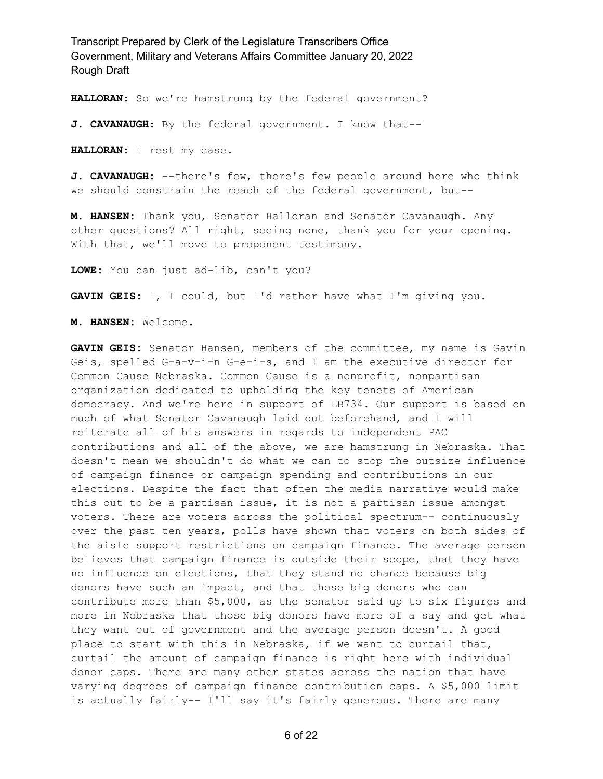**HALLORAN:** So we're hamstrung by the federal government?

**J. CAVANAUGH:** By the federal government. I know that--

**HALLORAN:** I rest my case.

**J. CAVANAUGH:** --there's few, there's few people around here who think we should constrain the reach of the federal government, but--

**M. HANSEN:** Thank you, Senator Halloran and Senator Cavanaugh. Any other questions? All right, seeing none, thank you for your opening. With that, we'll move to proponent testimony.

**LOWE:** You can just ad-lib, can't you?

**GAVIN GEIS:** I, I could, but I'd rather have what I'm giving you.

**M. HANSEN:** Welcome.

**GAVIN GEIS:** Senator Hansen, members of the committee, my name is Gavin Geis, spelled G-a-v-i-n G-e-i-s, and I am the executive director for Common Cause Nebraska. Common Cause is a nonprofit, nonpartisan organization dedicated to upholding the key tenets of American democracy. And we're here in support of LB734. Our support is based on much of what Senator Cavanaugh laid out beforehand, and I will reiterate all of his answers in regards to independent PAC contributions and all of the above, we are hamstrung in Nebraska. That doesn't mean we shouldn't do what we can to stop the outsize influence of campaign finance or campaign spending and contributions in our elections. Despite the fact that often the media narrative would make this out to be a partisan issue, it is not a partisan issue amongst voters. There are voters across the political spectrum-- continuously over the past ten years, polls have shown that voters on both sides of the aisle support restrictions on campaign finance. The average person believes that campaign finance is outside their scope, that they have no influence on elections, that they stand no chance because big donors have such an impact, and that those big donors who can contribute more than \$5,000, as the senator said up to six figures and more in Nebraska that those big donors have more of a say and get what they want out of government and the average person doesn't. A good place to start with this in Nebraska, if we want to curtail that, curtail the amount of campaign finance is right here with individual donor caps. There are many other states across the nation that have varying degrees of campaign finance contribution caps. A \$5,000 limit is actually fairly-- I'll say it's fairly generous. There are many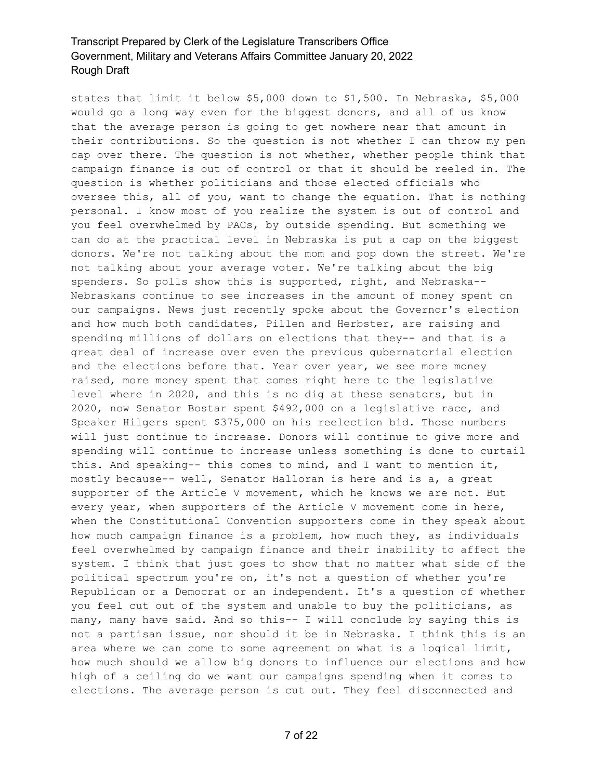states that limit it below \$5,000 down to \$1,500. In Nebraska, \$5,000 would go a long way even for the biggest donors, and all of us know that the average person is going to get nowhere near that amount in their contributions. So the question is not whether I can throw my pen cap over there. The question is not whether, whether people think that campaign finance is out of control or that it should be reeled in. The question is whether politicians and those elected officials who oversee this, all of you, want to change the equation. That is nothing personal. I know most of you realize the system is out of control and you feel overwhelmed by PACs, by outside spending. But something we can do at the practical level in Nebraska is put a cap on the biggest donors. We're not talking about the mom and pop down the street. We're not talking about your average voter. We're talking about the big spenders. So polls show this is supported, right, and Nebraska-- Nebraskans continue to see increases in the amount of money spent on our campaigns. News just recently spoke about the Governor's election and how much both candidates, Pillen and Herbster, are raising and spending millions of dollars on elections that they-- and that is a great deal of increase over even the previous gubernatorial election and the elections before that. Year over year, we see more money raised, more money spent that comes right here to the legislative level where in 2020, and this is no dig at these senators, but in 2020, now Senator Bostar spent \$492,000 on a legislative race, and Speaker Hilgers spent \$375,000 on his reelection bid. Those numbers will just continue to increase. Donors will continue to give more and spending will continue to increase unless something is done to curtail this. And speaking-- this comes to mind, and I want to mention it, mostly because-- well, Senator Halloran is here and is a, a great supporter of the Article V movement, which he knows we are not. But every year, when supporters of the Article V movement come in here, when the Constitutional Convention supporters come in they speak about how much campaign finance is a problem, how much they, as individuals feel overwhelmed by campaign finance and their inability to affect the system. I think that just goes to show that no matter what side of the political spectrum you're on, it's not a question of whether you're Republican or a Democrat or an independent. It's a question of whether you feel cut out of the system and unable to buy the politicians, as many, many have said. And so this-- I will conclude by saying this is not a partisan issue, nor should it be in Nebraska. I think this is an area where we can come to some agreement on what is a logical limit, how much should we allow big donors to influence our elections and how high of a ceiling do we want our campaigns spending when it comes to elections. The average person is cut out. They feel disconnected and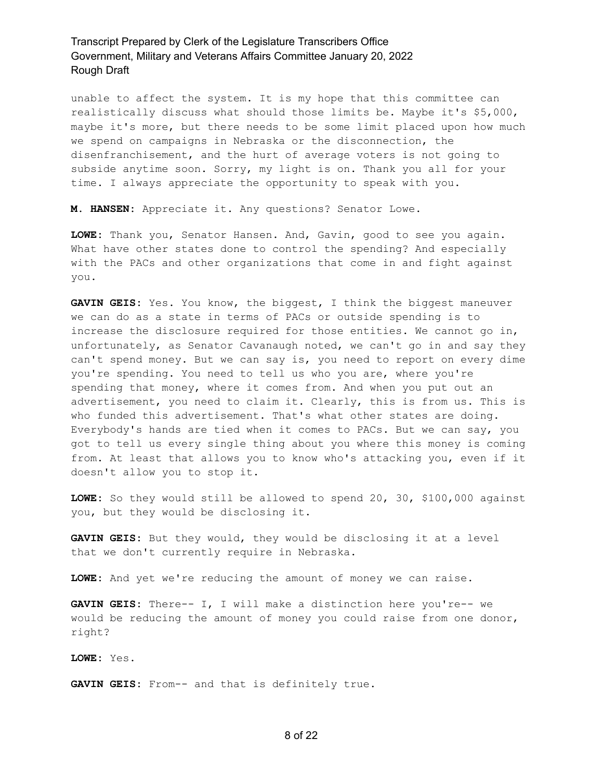unable to affect the system. It is my hope that this committee can realistically discuss what should those limits be. Maybe it's \$5,000, maybe it's more, but there needs to be some limit placed upon how much we spend on campaigns in Nebraska or the disconnection, the disenfranchisement, and the hurt of average voters is not going to subside anytime soon. Sorry, my light is on. Thank you all for your time. I always appreciate the opportunity to speak with you.

**M. HANSEN:** Appreciate it. Any questions? Senator Lowe.

**LOWE:** Thank you, Senator Hansen. And, Gavin, good to see you again. What have other states done to control the spending? And especially with the PACs and other organizations that come in and fight against you.

**GAVIN GEIS:** Yes. You know, the biggest, I think the biggest maneuver we can do as a state in terms of PACs or outside spending is to increase the disclosure required for those entities. We cannot go in, unfortunately, as Senator Cavanaugh noted, we can't go in and say they can't spend money. But we can say is, you need to report on every dime you're spending. You need to tell us who you are, where you're spending that money, where it comes from. And when you put out an advertisement, you need to claim it. Clearly, this is from us. This is who funded this advertisement. That's what other states are doing. Everybody's hands are tied when it comes to PACs. But we can say, you got to tell us every single thing about you where this money is coming from. At least that allows you to know who's attacking you, even if it doesn't allow you to stop it.

**LOWE:** So they would still be allowed to spend 20, 30, \$100,000 against you, but they would be disclosing it.

**GAVIN GEIS:** But they would, they would be disclosing it at a level that we don't currently require in Nebraska.

**LOWE:** And yet we're reducing the amount of money we can raise.

**GAVIN GEIS:** There-- I, I will make a distinction here you're-- we would be reducing the amount of money you could raise from one donor, right?

**LOWE:** Yes.

**GAVIN GEIS:** From-- and that is definitely true.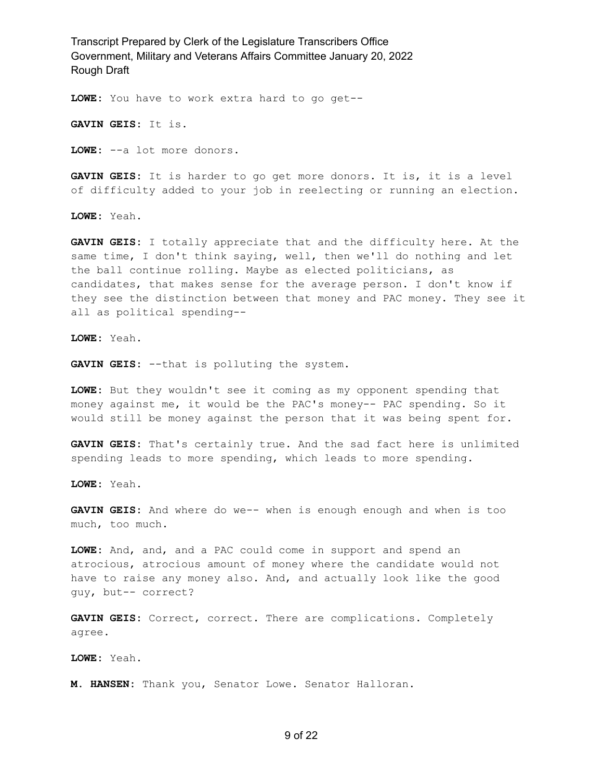**LOWE:** You have to work extra hard to go get--

**GAVIN GEIS:** It is.

**LOWE:** --a lot more donors.

**GAVIN GEIS:** It is harder to go get more donors. It is, it is a level of difficulty added to your job in reelecting or running an election.

**LOWE:** Yeah.

**GAVIN GEIS:** I totally appreciate that and the difficulty here. At the same time, I don't think saying, well, then we'll do nothing and let the ball continue rolling. Maybe as elected politicians, as candidates, that makes sense for the average person. I don't know if they see the distinction between that money and PAC money. They see it all as political spending--

**LOWE:** Yeah.

**GAVIN GEIS:** --that is polluting the system.

**LOWE:** But they wouldn't see it coming as my opponent spending that money against me, it would be the PAC's money-- PAC spending. So it would still be money against the person that it was being spent for.

**GAVIN GEIS:** That's certainly true. And the sad fact here is unlimited spending leads to more spending, which leads to more spending.

**LOWE:** Yeah.

**GAVIN GEIS:** And where do we-- when is enough enough and when is too much, too much.

**LOWE:** And, and, and a PAC could come in support and spend an atrocious, atrocious amount of money where the candidate would not have to raise any money also. And, and actually look like the good guy, but-- correct?

**GAVIN GEIS:** Correct, correct. There are complications. Completely agree.

**LOWE:** Yeah.

**M. HANSEN:** Thank you, Senator Lowe. Senator Halloran.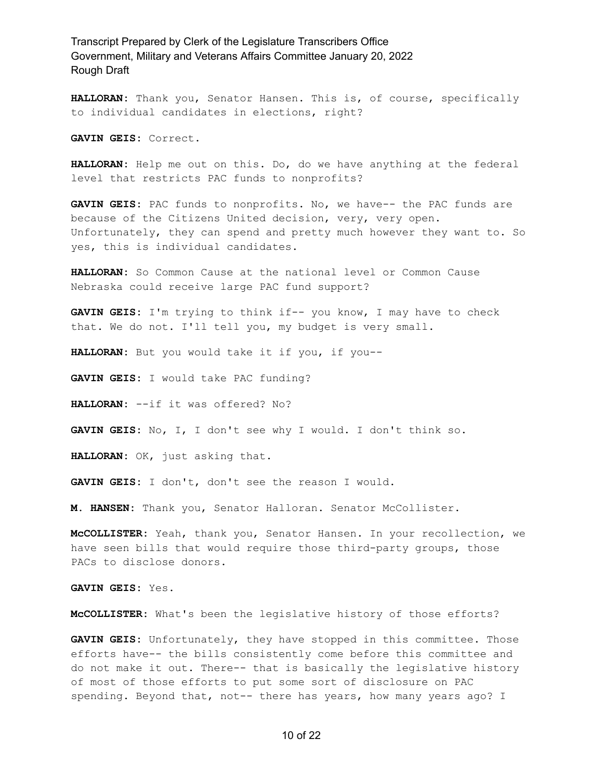**HALLORAN:** Thank you, Senator Hansen. This is, of course, specifically to individual candidates in elections, right?

**GAVIN GEIS:** Correct.

**HALLORAN:** Help me out on this. Do, do we have anything at the federal level that restricts PAC funds to nonprofits?

**GAVIN GEIS:** PAC funds to nonprofits. No, we have-- the PAC funds are because of the Citizens United decision, very, very open. Unfortunately, they can spend and pretty much however they want to. So yes, this is individual candidates.

**HALLORAN:** So Common Cause at the national level or Common Cause Nebraska could receive large PAC fund support?

**GAVIN GEIS:** I'm trying to think if-- you know, I may have to check that. We do not. I'll tell you, my budget is very small.

**HALLORAN:** But you would take it if you, if you--

**GAVIN GEIS:** I would take PAC funding?

**HALLORAN:** --if it was offered? No?

**GAVIN GEIS:** No, I, I don't see why I would. I don't think so.

**HALLORAN:** OK, just asking that.

**GAVIN GEIS:** I don't, don't see the reason I would.

**M. HANSEN:** Thank you, Senator Halloran. Senator McCollister.

**McCOLLISTER:** Yeah, thank you, Senator Hansen. In your recollection, we have seen bills that would require those third-party groups, those PACs to disclose donors.

**GAVIN GEIS:** Yes.

**McCOLLISTER:** What's been the legislative history of those efforts?

**GAVIN GEIS:** Unfortunately, they have stopped in this committee. Those efforts have-- the bills consistently come before this committee and do not make it out. There-- that is basically the legislative history of most of those efforts to put some sort of disclosure on PAC spending. Beyond that, not-- there has years, how many years ago? I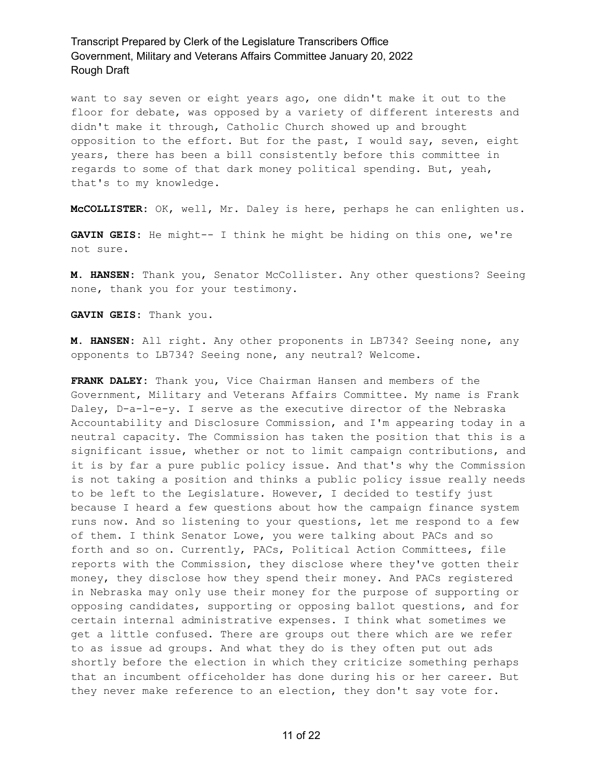want to say seven or eight years ago, one didn't make it out to the floor for debate, was opposed by a variety of different interests and didn't make it through, Catholic Church showed up and brought opposition to the effort. But for the past, I would say, seven, eight years, there has been a bill consistently before this committee in regards to some of that dark money political spending. But, yeah, that's to my knowledge.

**McCOLLISTER:** OK, well, Mr. Daley is here, perhaps he can enlighten us.

**GAVIN GEIS:** He might-- I think he might be hiding on this one, we're not sure.

**M. HANSEN:** Thank you, Senator McCollister. Any other questions? Seeing none, thank you for your testimony.

**GAVIN GEIS:** Thank you.

**M. HANSEN:** All right. Any other proponents in LB734? Seeing none, any opponents to LB734? Seeing none, any neutral? Welcome.

**FRANK DALEY:** Thank you, Vice Chairman Hansen and members of the Government, Military and Veterans Affairs Committee. My name is Frank Daley, D-a-l-e-y. I serve as the executive director of the Nebraska Accountability and Disclosure Commission, and I'm appearing today in a neutral capacity. The Commission has taken the position that this is a significant issue, whether or not to limit campaign contributions, and it is by far a pure public policy issue. And that's why the Commission is not taking a position and thinks a public policy issue really needs to be left to the Legislature. However, I decided to testify just because I heard a few questions about how the campaign finance system runs now. And so listening to your questions, let me respond to a few of them. I think Senator Lowe, you were talking about PACs and so forth and so on. Currently, PACs, Political Action Committees, file reports with the Commission, they disclose where they've gotten their money, they disclose how they spend their money. And PACs registered in Nebraska may only use their money for the purpose of supporting or opposing candidates, supporting or opposing ballot questions, and for certain internal administrative expenses. I think what sometimes we get a little confused. There are groups out there which are we refer to as issue ad groups. And what they do is they often put out ads shortly before the election in which they criticize something perhaps that an incumbent officeholder has done during his or her career. But they never make reference to an election, they don't say vote for.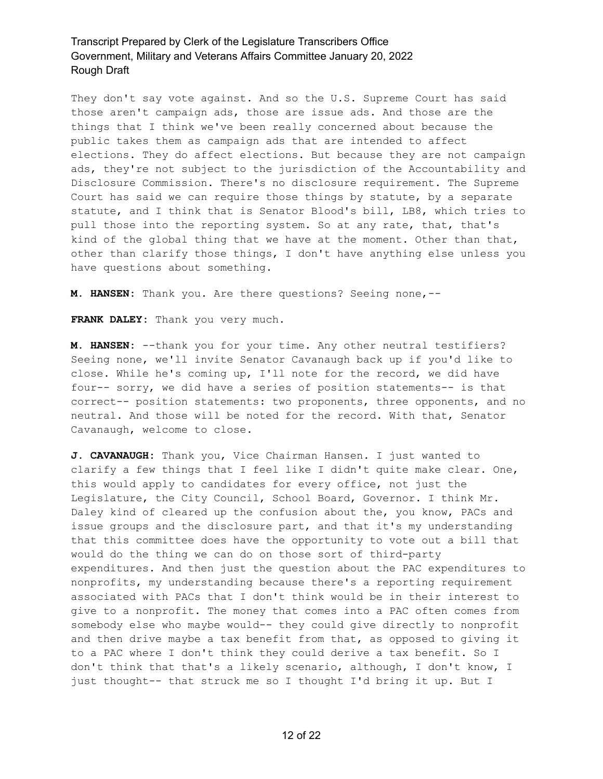They don't say vote against. And so the U.S. Supreme Court has said those aren't campaign ads, those are issue ads. And those are the things that I think we've been really concerned about because the public takes them as campaign ads that are intended to affect elections. They do affect elections. But because they are not campaign ads, they're not subject to the jurisdiction of the Accountability and Disclosure Commission. There's no disclosure requirement. The Supreme Court has said we can require those things by statute, by a separate statute, and I think that is Senator Blood's bill, LB8, which tries to pull those into the reporting system. So at any rate, that, that's kind of the global thing that we have at the moment. Other than that, other than clarify those things, I don't have anything else unless you have questions about something.

**M. HANSEN:** Thank you. Are there questions? Seeing none,--

**FRANK DALEY:** Thank you very much.

**M. HANSEN:** --thank you for your time. Any other neutral testifiers? Seeing none, we'll invite Senator Cavanaugh back up if you'd like to close. While he's coming up, I'll note for the record, we did have four-- sorry, we did have a series of position statements-- is that correct-- position statements: two proponents, three opponents, and no neutral. And those will be noted for the record. With that, Senator Cavanaugh, welcome to close.

**J. CAVANAUGH:** Thank you, Vice Chairman Hansen. I just wanted to clarify a few things that I feel like I didn't quite make clear. One, this would apply to candidates for every office, not just the Legislature, the City Council, School Board, Governor. I think Mr. Daley kind of cleared up the confusion about the, you know, PACs and issue groups and the disclosure part, and that it's my understanding that this committee does have the opportunity to vote out a bill that would do the thing we can do on those sort of third-party expenditures. And then just the question about the PAC expenditures to nonprofits, my understanding because there's a reporting requirement associated with PACs that I don't think would be in their interest to give to a nonprofit. The money that comes into a PAC often comes from somebody else who maybe would-- they could give directly to nonprofit and then drive maybe a tax benefit from that, as opposed to giving it to a PAC where I don't think they could derive a tax benefit. So I don't think that that's a likely scenario, although, I don't know, I just thought-- that struck me so I thought I'd bring it up. But I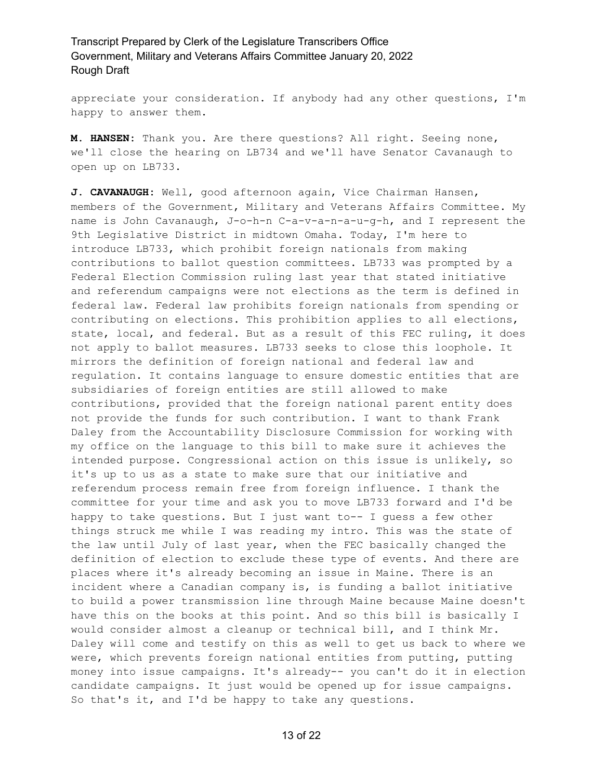appreciate your consideration. If anybody had any other questions, I'm happy to answer them.

**M. HANSEN:** Thank you. Are there questions? All right. Seeing none, we'll close the hearing on LB734 and we'll have Senator Cavanaugh to open up on LB733.

**J. CAVANAUGH:** Well, good afternoon again, Vice Chairman Hansen, members of the Government, Military and Veterans Affairs Committee. My name is John Cavanaugh, J-o-h-n C-a-v-a-n-a-u-g-h, and I represent the 9th Legislative District in midtown Omaha. Today, I'm here to introduce LB733, which prohibit foreign nationals from making contributions to ballot question committees. LB733 was prompted by a Federal Election Commission ruling last year that stated initiative and referendum campaigns were not elections as the term is defined in federal law. Federal law prohibits foreign nationals from spending or contributing on elections. This prohibition applies to all elections, state, local, and federal. But as a result of this FEC ruling, it does not apply to ballot measures. LB733 seeks to close this loophole. It mirrors the definition of foreign national and federal law and regulation. It contains language to ensure domestic entities that are subsidiaries of foreign entities are still allowed to make contributions, provided that the foreign national parent entity does not provide the funds for such contribution. I want to thank Frank Daley from the Accountability Disclosure Commission for working with my office on the language to this bill to make sure it achieves the intended purpose. Congressional action on this issue is unlikely, so it's up to us as a state to make sure that our initiative and referendum process remain free from foreign influence. I thank the committee for your time and ask you to move LB733 forward and I'd be happy to take questions. But I just want to-- I quess a few other things struck me while I was reading my intro. This was the state of the law until July of last year, when the FEC basically changed the definition of election to exclude these type of events. And there are places where it's already becoming an issue in Maine. There is an incident where a Canadian company is, is funding a ballot initiative to build a power transmission line through Maine because Maine doesn't have this on the books at this point. And so this bill is basically I would consider almost a cleanup or technical bill, and I think Mr. Daley will come and testify on this as well to get us back to where we were, which prevents foreign national entities from putting, putting money into issue campaigns. It's already-- you can't do it in election candidate campaigns. It just would be opened up for issue campaigns. So that's it, and I'd be happy to take any questions.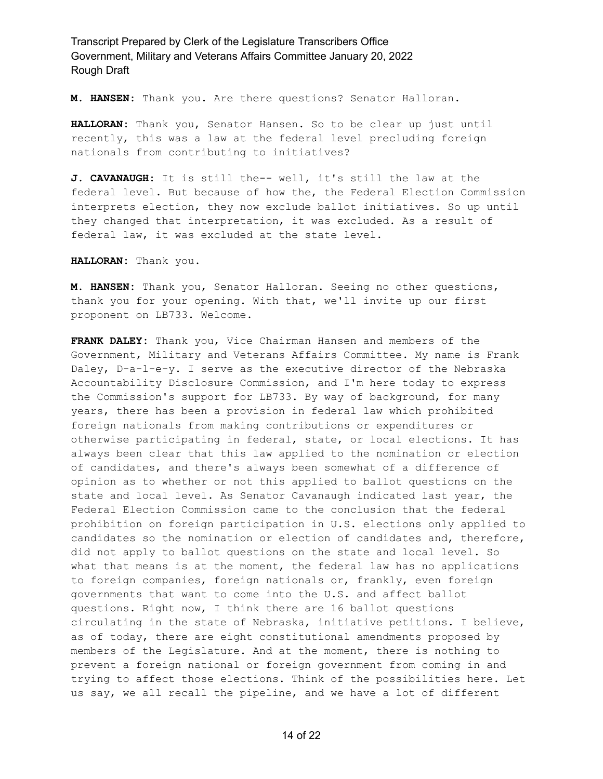**M. HANSEN:** Thank you. Are there questions? Senator Halloran.

**HALLORAN:** Thank you, Senator Hansen. So to be clear up just until recently, this was a law at the federal level precluding foreign nationals from contributing to initiatives?

**J. CAVANAUGH:** It is still the-- well, it's still the law at the federal level. But because of how the, the Federal Election Commission interprets election, they now exclude ballot initiatives. So up until they changed that interpretation, it was excluded. As a result of federal law, it was excluded at the state level.

**HALLORAN:** Thank you.

**M. HANSEN:** Thank you, Senator Halloran. Seeing no other questions, thank you for your opening. With that, we'll invite up our first proponent on LB733. Welcome.

**FRANK DALEY:** Thank you, Vice Chairman Hansen and members of the Government, Military and Veterans Affairs Committee. My name is Frank Daley, D-a-l-e-y. I serve as the executive director of the Nebraska Accountability Disclosure Commission, and I'm here today to express the Commission's support for LB733. By way of background, for many years, there has been a provision in federal law which prohibited foreign nationals from making contributions or expenditures or otherwise participating in federal, state, or local elections. It has always been clear that this law applied to the nomination or election of candidates, and there's always been somewhat of a difference of opinion as to whether or not this applied to ballot questions on the state and local level. As Senator Cavanaugh indicated last year, the Federal Election Commission came to the conclusion that the federal prohibition on foreign participation in U.S. elections only applied to candidates so the nomination or election of candidates and, therefore, did not apply to ballot questions on the state and local level. So what that means is at the moment, the federal law has no applications to foreign companies, foreign nationals or, frankly, even foreign governments that want to come into the U.S. and affect ballot questions. Right now, I think there are 16 ballot questions circulating in the state of Nebraska, initiative petitions. I believe, as of today, there are eight constitutional amendments proposed by members of the Legislature. And at the moment, there is nothing to prevent a foreign national or foreign government from coming in and trying to affect those elections. Think of the possibilities here. Let us say, we all recall the pipeline, and we have a lot of different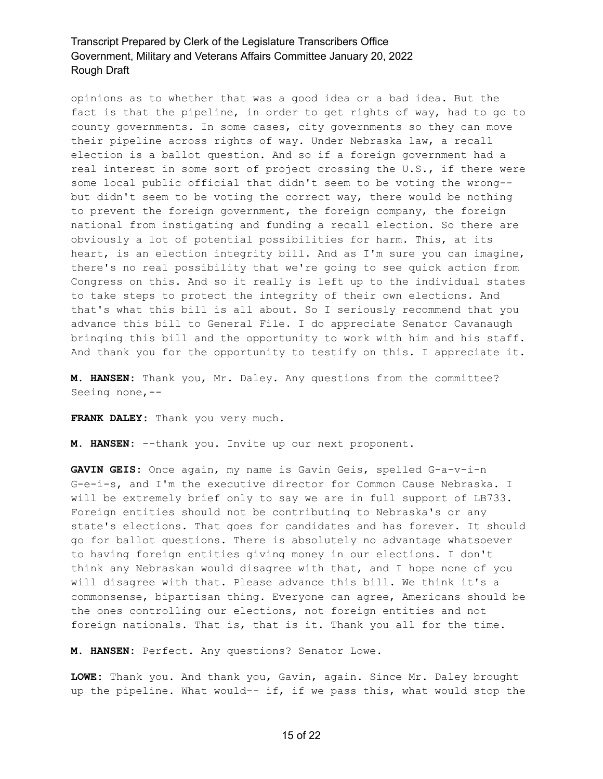opinions as to whether that was a good idea or a bad idea. But the fact is that the pipeline, in order to get rights of way, had to go to county governments. In some cases, city governments so they can move their pipeline across rights of way. Under Nebraska law, a recall election is a ballot question. And so if a foreign government had a real interest in some sort of project crossing the U.S., if there were some local public official that didn't seem to be voting the wrong- but didn't seem to be voting the correct way, there would be nothing to prevent the foreign government, the foreign company, the foreign national from instigating and funding a recall election. So there are obviously a lot of potential possibilities for harm. This, at its heart, is an election integrity bill. And as I'm sure you can imagine, there's no real possibility that we're going to see quick action from Congress on this. And so it really is left up to the individual states to take steps to protect the integrity of their own elections. And that's what this bill is all about. So I seriously recommend that you advance this bill to General File. I do appreciate Senator Cavanaugh bringing this bill and the opportunity to work with him and his staff. And thank you for the opportunity to testify on this. I appreciate it.

**M. HANSEN:** Thank you, Mr. Daley. Any questions from the committee? Seeing none,--

**FRANK DALEY:** Thank you very much.

**M. HANSEN:** --thank you. Invite up our next proponent.

**GAVIN GEIS:** Once again, my name is Gavin Geis, spelled G-a-v-i-n G-e-i-s, and I'm the executive director for Common Cause Nebraska. I will be extremely brief only to say we are in full support of LB733. Foreign entities should not be contributing to Nebraska's or any state's elections. That goes for candidates and has forever. It should go for ballot questions. There is absolutely no advantage whatsoever to having foreign entities giving money in our elections. I don't think any Nebraskan would disagree with that, and I hope none of you will disagree with that. Please advance this bill. We think it's a commonsense, bipartisan thing. Everyone can agree, Americans should be the ones controlling our elections, not foreign entities and not foreign nationals. That is, that is it. Thank you all for the time.

**M. HANSEN:** Perfect. Any questions? Senator Lowe.

**LOWE:** Thank you. And thank you, Gavin, again. Since Mr. Daley brought up the pipeline. What would-- if, if we pass this, what would stop the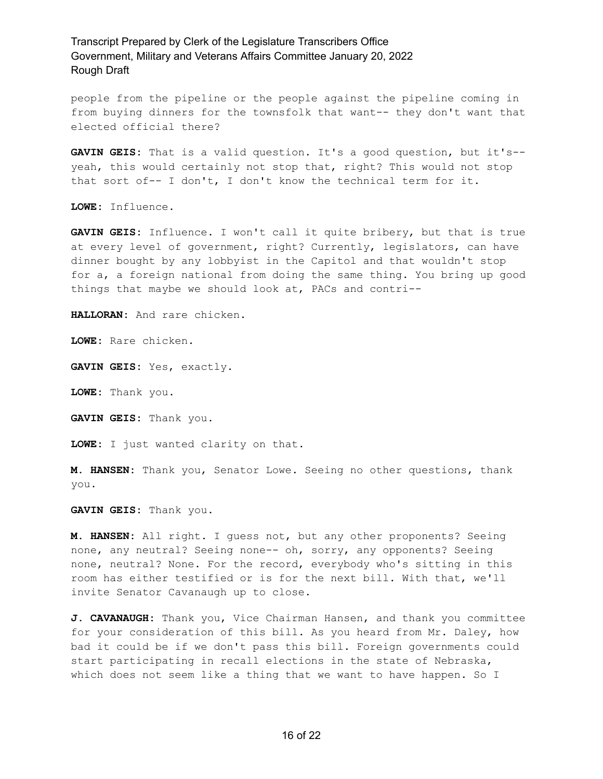people from the pipeline or the people against the pipeline coming in from buying dinners for the townsfolk that want-- they don't want that elected official there?

**GAVIN GEIS:** That is a valid question. It's a good question, but it's- yeah, this would certainly not stop that, right? This would not stop that sort of-- I don't, I don't know the technical term for it.

**LOWE:** Influence.

**GAVIN GEIS:** Influence. I won't call it quite bribery, but that is true at every level of government, right? Currently, legislators, can have dinner bought by any lobbyist in the Capitol and that wouldn't stop for a, a foreign national from doing the same thing. You bring up good things that maybe we should look at, PACs and contri--

**HALLORAN:** And rare chicken.

**LOWE:** Rare chicken.

**GAVIN GEIS:** Yes, exactly.

**LOWE:** Thank you.

**GAVIN GEIS:** Thank you.

**LOWE:** I just wanted clarity on that.

**M. HANSEN:** Thank you, Senator Lowe. Seeing no other questions, thank you.

**GAVIN GEIS:** Thank you.

**M. HANSEN:** All right. I guess not, but any other proponents? Seeing none, any neutral? Seeing none-- oh, sorry, any opponents? Seeing none, neutral? None. For the record, everybody who's sitting in this room has either testified or is for the next bill. With that, we'll invite Senator Cavanaugh up to close.

**J. CAVANAUGH:** Thank you, Vice Chairman Hansen, and thank you committee for your consideration of this bill. As you heard from Mr. Daley, how bad it could be if we don't pass this bill. Foreign governments could start participating in recall elections in the state of Nebraska, which does not seem like a thing that we want to have happen. So I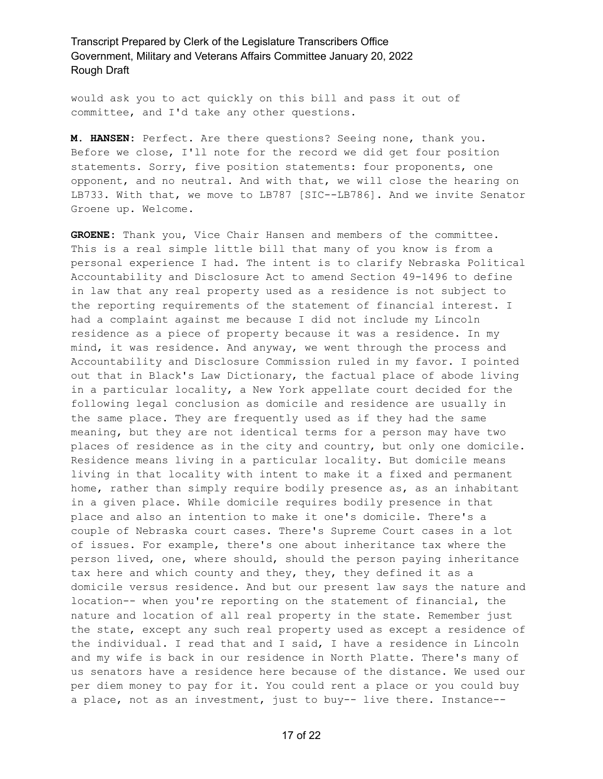would ask you to act quickly on this bill and pass it out of committee, and I'd take any other questions.

**M. HANSEN:** Perfect. Are there questions? Seeing none, thank you. Before we close, I'll note for the record we did get four position statements. Sorry, five position statements: four proponents, one opponent, and no neutral. And with that, we will close the hearing on LB733. With that, we move to LB787 [SIC--LB786]. And we invite Senator Groene up. Welcome.

**GROENE:** Thank you, Vice Chair Hansen and members of the committee. This is a real simple little bill that many of you know is from a personal experience I had. The intent is to clarify Nebraska Political Accountability and Disclosure Act to amend Section 49-1496 to define in law that any real property used as a residence is not subject to the reporting requirements of the statement of financial interest. I had a complaint against me because I did not include my Lincoln residence as a piece of property because it was a residence. In my mind, it was residence. And anyway, we went through the process and Accountability and Disclosure Commission ruled in my favor. I pointed out that in Black's Law Dictionary, the factual place of abode living in a particular locality, a New York appellate court decided for the following legal conclusion as domicile and residence are usually in the same place. They are frequently used as if they had the same meaning, but they are not identical terms for a person may have two places of residence as in the city and country, but only one domicile. Residence means living in a particular locality. But domicile means living in that locality with intent to make it a fixed and permanent home, rather than simply require bodily presence as, as an inhabitant in a given place. While domicile requires bodily presence in that place and also an intention to make it one's domicile. There's a couple of Nebraska court cases. There's Supreme Court cases in a lot of issues. For example, there's one about inheritance tax where the person lived, one, where should, should the person paying inheritance tax here and which county and they, they, they defined it as a domicile versus residence. And but our present law says the nature and location-- when you're reporting on the statement of financial, the nature and location of all real property in the state. Remember just the state, except any such real property used as except a residence of the individual. I read that and I said, I have a residence in Lincoln and my wife is back in our residence in North Platte. There's many of us senators have a residence here because of the distance. We used our per diem money to pay for it. You could rent a place or you could buy a place, not as an investment, just to buy-- live there. Instance--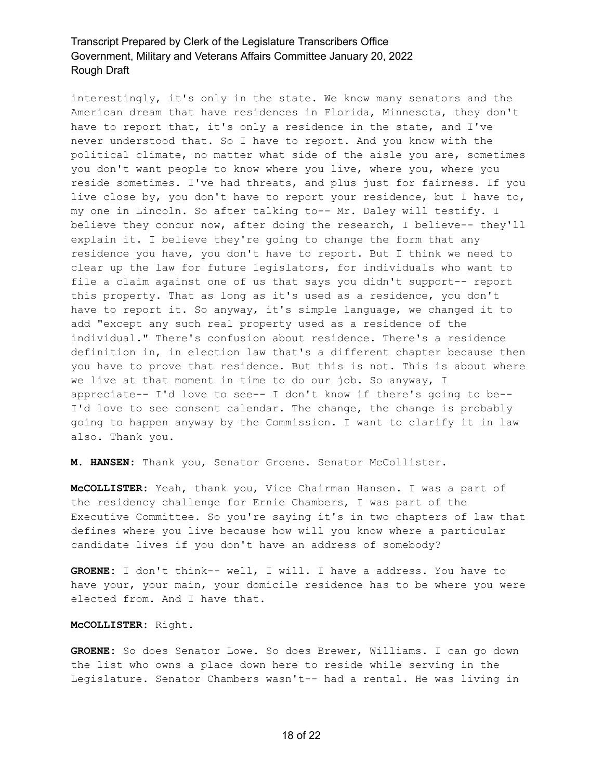interestingly, it's only in the state. We know many senators and the American dream that have residences in Florida, Minnesota, they don't have to report that, it's only a residence in the state, and I've never understood that. So I have to report. And you know with the political climate, no matter what side of the aisle you are, sometimes you don't want people to know where you live, where you, where you reside sometimes. I've had threats, and plus just for fairness. If you live close by, you don't have to report your residence, but I have to, my one in Lincoln. So after talking to-- Mr. Daley will testify. I believe they concur now, after doing the research, I believe-- they'll explain it. I believe they're going to change the form that any residence you have, you don't have to report. But I think we need to clear up the law for future legislators, for individuals who want to file a claim against one of us that says you didn't support-- report this property. That as long as it's used as a residence, you don't have to report it. So anyway, it's simple language, we changed it to add "except any such real property used as a residence of the individual." There's confusion about residence. There's a residence definition in, in election law that's a different chapter because then you have to prove that residence. But this is not. This is about where we live at that moment in time to do our job. So anyway, I appreciate-- I'd love to see-- I don't know if there's going to be-- I'd love to see consent calendar. The change, the change is probably going to happen anyway by the Commission. I want to clarify it in law also. Thank you.

**M. HANSEN:** Thank you, Senator Groene. Senator McCollister.

**McCOLLISTER:** Yeah, thank you, Vice Chairman Hansen. I was a part of the residency challenge for Ernie Chambers, I was part of the Executive Committee. So you're saying it's in two chapters of law that defines where you live because how will you know where a particular candidate lives if you don't have an address of somebody?

**GROENE:** I don't think-- well, I will. I have a address. You have to have your, your main, your domicile residence has to be where you were elected from. And I have that.

#### **McCOLLISTER:** Right.

**GROENE:** So does Senator Lowe. So does Brewer, Williams. I can go down the list who owns a place down here to reside while serving in the Legislature. Senator Chambers wasn't-- had a rental. He was living in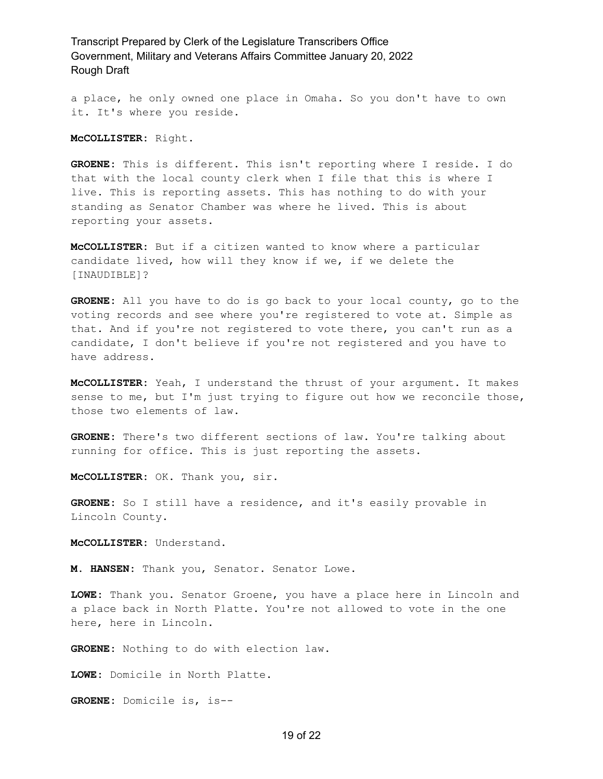a place, he only owned one place in Omaha. So you don't have to own it. It's where you reside.

**McCOLLISTER:** Right.

**GROENE:** This is different. This isn't reporting where I reside. I do that with the local county clerk when I file that this is where I live. This is reporting assets. This has nothing to do with your standing as Senator Chamber was where he lived. This is about reporting your assets.

**McCOLLISTER:** But if a citizen wanted to know where a particular candidate lived, how will they know if we, if we delete the [INAUDIBLE]?

**GROENE:** All you have to do is go back to your local county, go to the voting records and see where you're registered to vote at. Simple as that. And if you're not registered to vote there, you can't run as a candidate, I don't believe if you're not registered and you have to have address.

**McCOLLISTER:** Yeah, I understand the thrust of your argument. It makes sense to me, but I'm just trying to figure out how we reconcile those, those two elements of law.

**GROENE:** There's two different sections of law. You're talking about running for office. This is just reporting the assets.

**McCOLLISTER:** OK. Thank you, sir.

**GROENE:** So I still have a residence, and it's easily provable in Lincoln County.

**McCOLLISTER:** Understand.

**M. HANSEN:** Thank you, Senator. Senator Lowe.

**LOWE:** Thank you. Senator Groene, you have a place here in Lincoln and a place back in North Platte. You're not allowed to vote in the one here, here in Lincoln.

**GROENE:** Nothing to do with election law.

**LOWE:** Domicile in North Platte.

**GROENE:** Domicile is, is--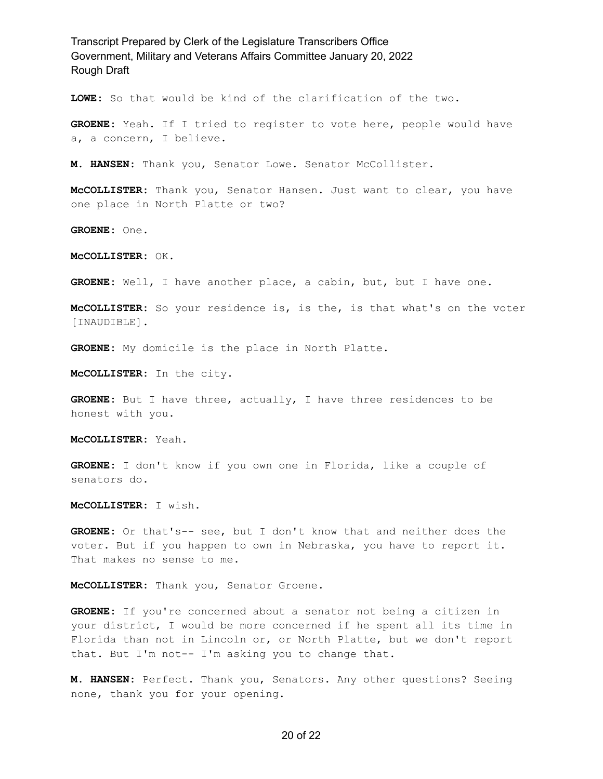**LOWE:** So that would be kind of the clarification of the two.

**GROENE:** Yeah. If I tried to register to vote here, people would have a, a concern, I believe.

**M. HANSEN:** Thank you, Senator Lowe. Senator McCollister.

**McCOLLISTER:** Thank you, Senator Hansen. Just want to clear, you have one place in North Platte or two?

**GROENE:** One.

**McCOLLISTER:** OK.

**GROENE:** Well, I have another place, a cabin, but, but I have one.

**McCOLLISTER:** So your residence is, is the, is that what's on the voter [INAUDIBLE].

**GROENE:** My domicile is the place in North Platte.

**McCOLLISTER:** In the city.

**GROENE:** But I have three, actually, I have three residences to be honest with you.

**McCOLLISTER:** Yeah.

**GROENE:** I don't know if you own one in Florida, like a couple of senators do.

**McCOLLISTER:** I wish.

**GROENE:** Or that's-- see, but I don't know that and neither does the voter. But if you happen to own in Nebraska, you have to report it. That makes no sense to me.

**McCOLLISTER:** Thank you, Senator Groene.

**GROENE:** If you're concerned about a senator not being a citizen in your district, I would be more concerned if he spent all its time in Florida than not in Lincoln or, or North Platte, but we don't report that. But I'm not-- I'm asking you to change that.

**M. HANSEN:** Perfect. Thank you, Senators. Any other questions? Seeing none, thank you for your opening.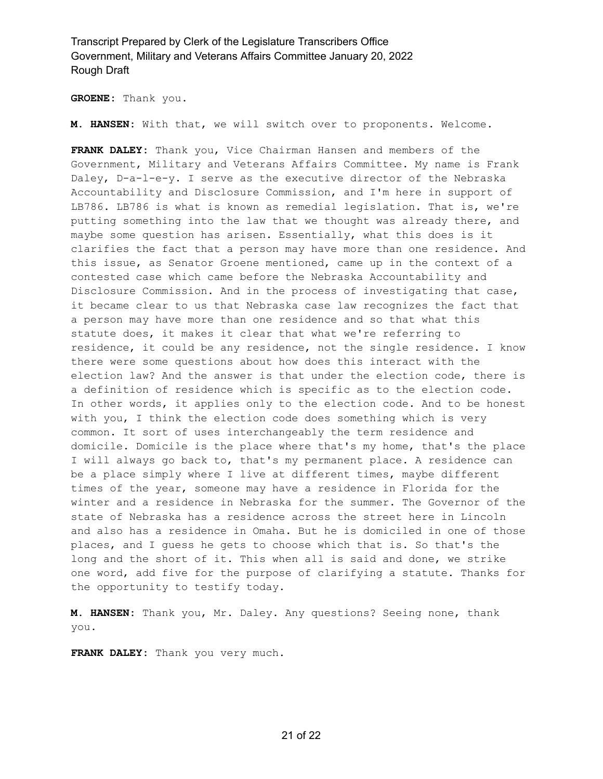**GROENE:** Thank you.

**M. HANSEN:** With that, we will switch over to proponents. Welcome.

**FRANK DALEY:** Thank you, Vice Chairman Hansen and members of the Government, Military and Veterans Affairs Committee. My name is Frank Daley, D-a-l-e-y. I serve as the executive director of the Nebraska Accountability and Disclosure Commission, and I'm here in support of LB786. LB786 is what is known as remedial legislation. That is, we're putting something into the law that we thought was already there, and maybe some question has arisen. Essentially, what this does is it clarifies the fact that a person may have more than one residence. And this issue, as Senator Groene mentioned, came up in the context of a contested case which came before the Nebraska Accountability and Disclosure Commission. And in the process of investigating that case, it became clear to us that Nebraska case law recognizes the fact that a person may have more than one residence and so that what this statute does, it makes it clear that what we're referring to residence, it could be any residence, not the single residence. I know there were some questions about how does this interact with the election law? And the answer is that under the election code, there is a definition of residence which is specific as to the election code. In other words, it applies only to the election code. And to be honest with you, I think the election code does something which is very common. It sort of uses interchangeably the term residence and domicile. Domicile is the place where that's my home, that's the place I will always go back to, that's my permanent place. A residence can be a place simply where I live at different times, maybe different times of the year, someone may have a residence in Florida for the winter and a residence in Nebraska for the summer. The Governor of the state of Nebraska has a residence across the street here in Lincoln and also has a residence in Omaha. But he is domiciled in one of those places, and I guess he gets to choose which that is. So that's the long and the short of it. This when all is said and done, we strike one word, add five for the purpose of clarifying a statute. Thanks for the opportunity to testify today.

**M. HANSEN:** Thank you, Mr. Daley. Any questions? Seeing none, thank you.

**FRANK DALEY:** Thank you very much.